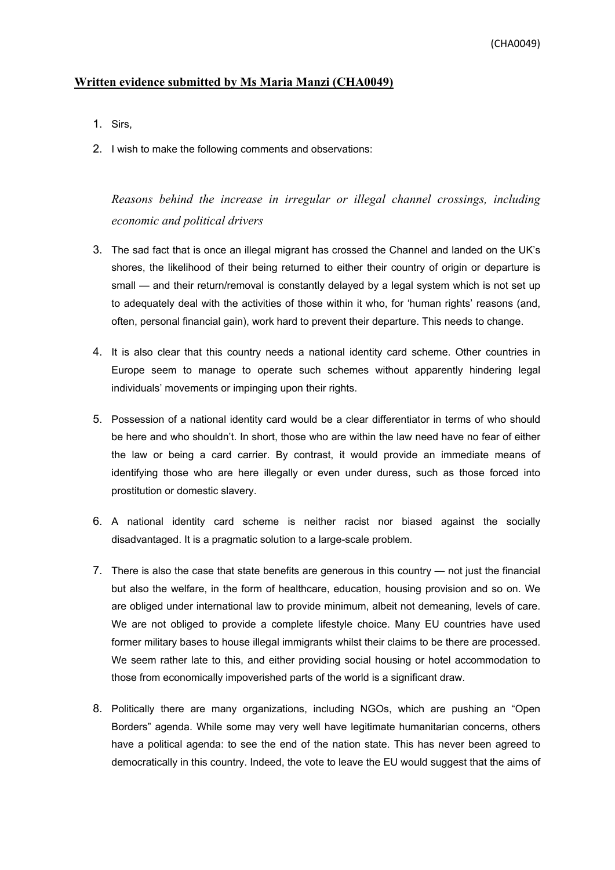## **Written evidence submitted by Ms Maria Manzi (CHA0049)**

- 1. Sirs,
- 2. I wish to make the following comments and observations:

*Reasons behind the increase in irregular or illegal channel crossings, including economic and political drivers*

- 3. The sad fact that is once an illegal migrant has crossed the Channel and landed on the UK's shores, the likelihood of their being returned to either their country of origin or departure is small — and their return/removal is constantly delayed by a legal system which is not set up to adequately deal with the activities of those within it who, for 'human rights' reasons (and, often, personal financial gain), work hard to prevent their departure. This needs to change.
- 4. It is also clear that this country needs a national identity card scheme. Other countries in Europe seem to manage to operate such schemes without apparently hindering legal individuals' movements or impinging upon their rights.
- 5. Possession of a national identity card would be a clear differentiator in terms of who should be here and who shouldn't. In short, those who are within the law need have no fear of either the law or being a card carrier. By contrast, it would provide an immediate means of identifying those who are here illegally or even under duress, such as those forced into prostitution or domestic slavery.
- 6. A national identity card scheme is neither racist nor biased against the socially disadvantaged. It is a pragmatic solution to a large-scale problem.
- 7. There is also the case that state benefits are generous in this country not just the financial but also the welfare, in the form of healthcare, education, housing provision and so on. We are obliged under international law to provide minimum, albeit not demeaning, levels of care. We are not obliged to provide a complete lifestyle choice. Many EU countries have used former military bases to house illegal immigrants whilst their claims to be there are processed. We seem rather late to this, and either providing social housing or hotel accommodation to those from economically impoverished parts of the world is a significant draw.
- 8. Politically there are many organizations, including NGOs, which are pushing an "Open Borders" agenda. While some may very well have legitimate humanitarian concerns, others have a political agenda: to see the end of the nation state. This has never been agreed to democratically in this country. Indeed, the vote to leave the EU would suggest that the aims of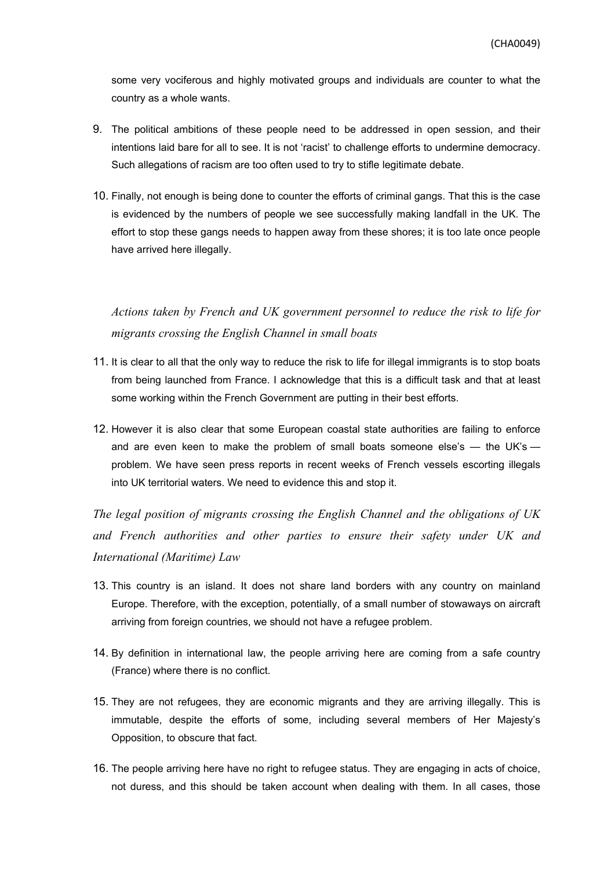some very vociferous and highly motivated groups and individuals are counter to what the country as a whole wants.

- 9. The political ambitions of these people need to be addressed in open session, and their intentions laid bare for all to see. It is not 'racist' to challenge efforts to undermine democracy. Such allegations of racism are too often used to try to stifle legitimate debate.
- 10. Finally, not enough is being done to counter the efforts of criminal gangs. That this is the case is evidenced by the numbers of people we see successfully making landfall in the UK. The effort to stop these gangs needs to happen away from these shores; it is too late once people have arrived here illegally.

*Actions taken by French and UK government personnel to reduce the risk to life for migrants crossing the English Channel in small boats*

- 11. It is clear to all that the only way to reduce the risk to life for illegal immigrants is to stop boats from being launched from France. I acknowledge that this is a difficult task and that at least some working within the French Government are putting in their best efforts.
- 12. However it is also clear that some European coastal state authorities are failing to enforce and are even keen to make the problem of small boats someone else's  $-$  the UK's  $$ problem. We have seen press reports in recent weeks of French vessels escorting illegals into UK territorial waters. We need to evidence this and stop it.

*The legal position of migrants crossing the English Channel and the obligations of UK and French authorities and other parties to ensure their safety under UK and International (Maritime) Law*

- 13. This country is an island. It does not share land borders with any country on mainland Europe. Therefore, with the exception, potentially, of a small number of stowaways on aircraft arriving from foreign countries, we should not have a refugee problem.
- 14. By definition in international law, the people arriving here are coming from a safe country (France) where there is no conflict.
- 15. They are not refugees, they are economic migrants and they are arriving illegally. This is immutable, despite the efforts of some, including several members of Her Majesty's Opposition, to obscure that fact.
- 16. The people arriving here have no right to refugee status. They are engaging in acts of choice, not duress, and this should be taken account when dealing with them. In all cases, those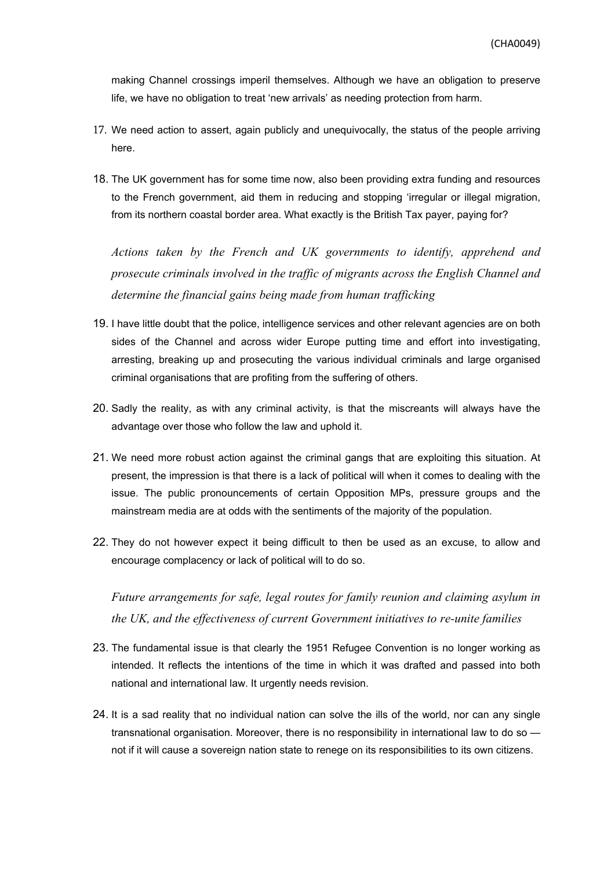making Channel crossings imperil themselves. Although we have an obligation to preserve life, we have no obligation to treat 'new arrivals' as needing protection from harm.

- 17. We need action to assert, again publicly and unequivocally, the status of the people arriving here.
- 18. The UK government has for some time now, also been providing extra funding and resources to the French government, aid them in reducing and stopping 'irregular or illegal migration, from its northern coastal border area. What exactly is the British Tax payer, paying for?

*Actions taken by the French and UK governments to identify, apprehend and prosecute criminals involved in the traffic of migrants across the English Channel and determine the financial gains being made from human trafficking*

- 19. I have little doubt that the police, intelligence services and other relevant agencies are on both sides of the Channel and across wider Europe putting time and effort into investigating, arresting, breaking up and prosecuting the various individual criminals and large organised criminal organisations that are profiting from the suffering of others.
- 20. Sadly the reality, as with any criminal activity, is that the miscreants will always have the advantage over those who follow the law and uphold it.
- 21. We need more robust action against the criminal gangs that are exploiting this situation. At present, the impression is that there is a lack of political will when it comes to dealing with the issue. The public pronouncements of certain Opposition MPs, pressure groups and the mainstream media are at odds with the sentiments of the majority of the population.
- 22. They do not however expect it being difficult to then be used as an excuse, to allow and encourage complacency or lack of political will to do so.

*Future arrangements for safe, legal routes for family reunion and claiming asylum in the UK, and the effectiveness of current Government initiatives to re-unite families*

- 23. The fundamental issue is that clearly the 1951 Refugee Convention is no longer working as intended. It reflects the intentions of the time in which it was drafted and passed into both national and international law. It urgently needs revision.
- 24. It is a sad reality that no individual nation can solve the ills of the world, nor can any single transnational organisation. Moreover, there is no responsibility in international law to do so not if it will cause a sovereign nation state to renege on its responsibilities to its own citizens.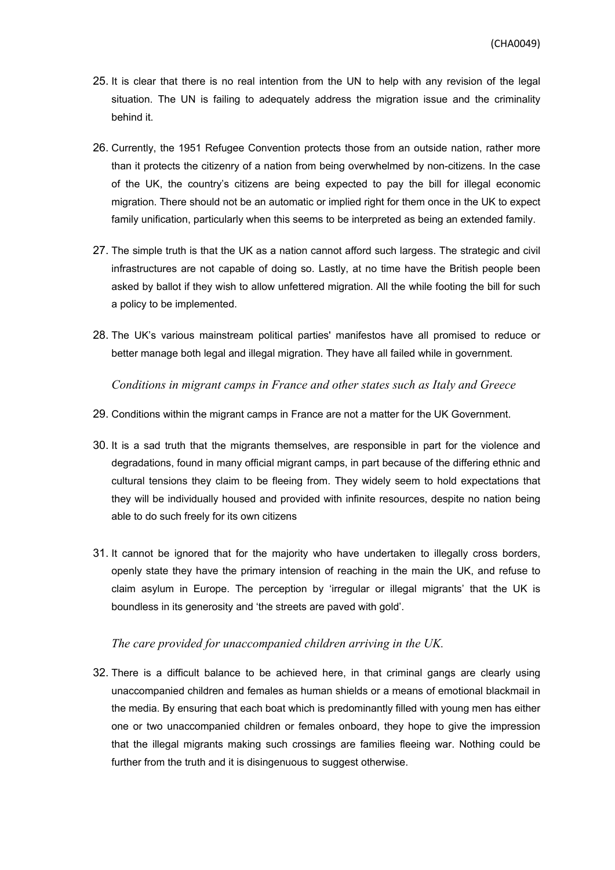- 25. It is clear that there is no real intention from the UN to help with any revision of the legal situation. The UN is failing to adequately address the migration issue and the criminality behind it.
- 26. Currently, the 1951 Refugee Convention protects those from an outside nation, rather more than it protects the citizenry of a nation from being overwhelmed by non-citizens. In the case of the UK, the country's citizens are being expected to pay the bill for illegal economic migration. There should not be an automatic or implied right for them once in the UK to expect family unification, particularly when this seems to be interpreted as being an extended family.
- 27. The simple truth is that the UK as a nation cannot afford such largess. The strategic and civil infrastructures are not capable of doing so. Lastly, at no time have the British people been asked by ballot if they wish to allow unfettered migration. All the while footing the bill for such a policy to be implemented.
- 28. The UK's various mainstream political parties' manifestos have all promised to reduce or better manage both legal and illegal migration. They have all failed while in government.

*Conditions in migrant camps in France and other states such as Italy and Greece*

- 29. Conditions within the migrant camps in France are not a matter for the UK Government.
- 30. It is a sad truth that the migrants themselves, are responsible in part for the violence and degradations, found in many official migrant camps, in part because of the differing ethnic and cultural tensions they claim to be fleeing from. They widely seem to hold expectations that they will be individually housed and provided with infinite resources, despite no nation being able to do such freely for its own citizens
- 31. It cannot be ignored that for the majority who have undertaken to illegally cross borders, openly state they have the primary intension of reaching in the main the UK, and refuse to claim asylum in Europe. The perception by 'irregular or illegal migrants' that the UK is boundless in its generosity and 'the streets are paved with gold'.

## *The care provided for unaccompanied children arriving in the UK.*

32. There is a difficult balance to be achieved here, in that criminal gangs are clearly using unaccompanied children and females as human shields or a means of emotional blackmail in the media. By ensuring that each boat which is predominantly filled with young men has either one or two unaccompanied children or females onboard, they hope to give the impression that the illegal migrants making such crossings are families fleeing war. Nothing could be further from the truth and it is disingenuous to suggest otherwise.